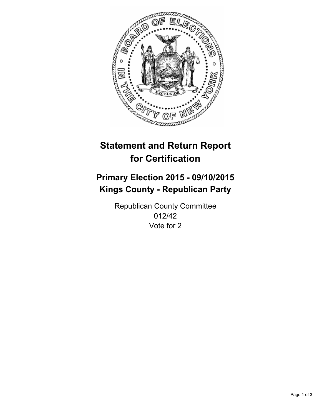

# **Statement and Return Report for Certification**

## **Primary Election 2015 - 09/10/2015 Kings County - Republican Party**

Republican County Committee 012/42 Vote for 2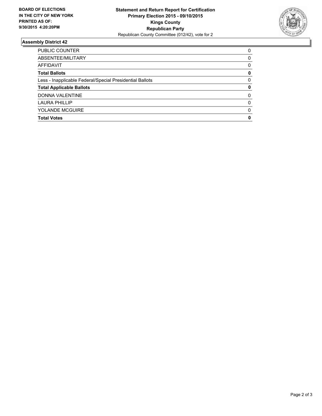

#### **Assembly District 42**

| PUBLIC COUNTER                                           | 0        |
|----------------------------------------------------------|----------|
| ABSENTEE/MILITARY                                        | 0        |
| AFFIDAVIT                                                | 0        |
| <b>Total Ballots</b>                                     | 0        |
| Less - Inapplicable Federal/Special Presidential Ballots | 0        |
| <b>Total Applicable Ballots</b>                          | 0        |
| <b>DONNA VALENTINE</b>                                   | $\Omega$ |
| <b>LAURA PHILLIP</b>                                     | 0        |
| <b>YOLANDE MCGUIRE</b>                                   | $\Omega$ |
| <b>Total Votes</b>                                       | 0        |